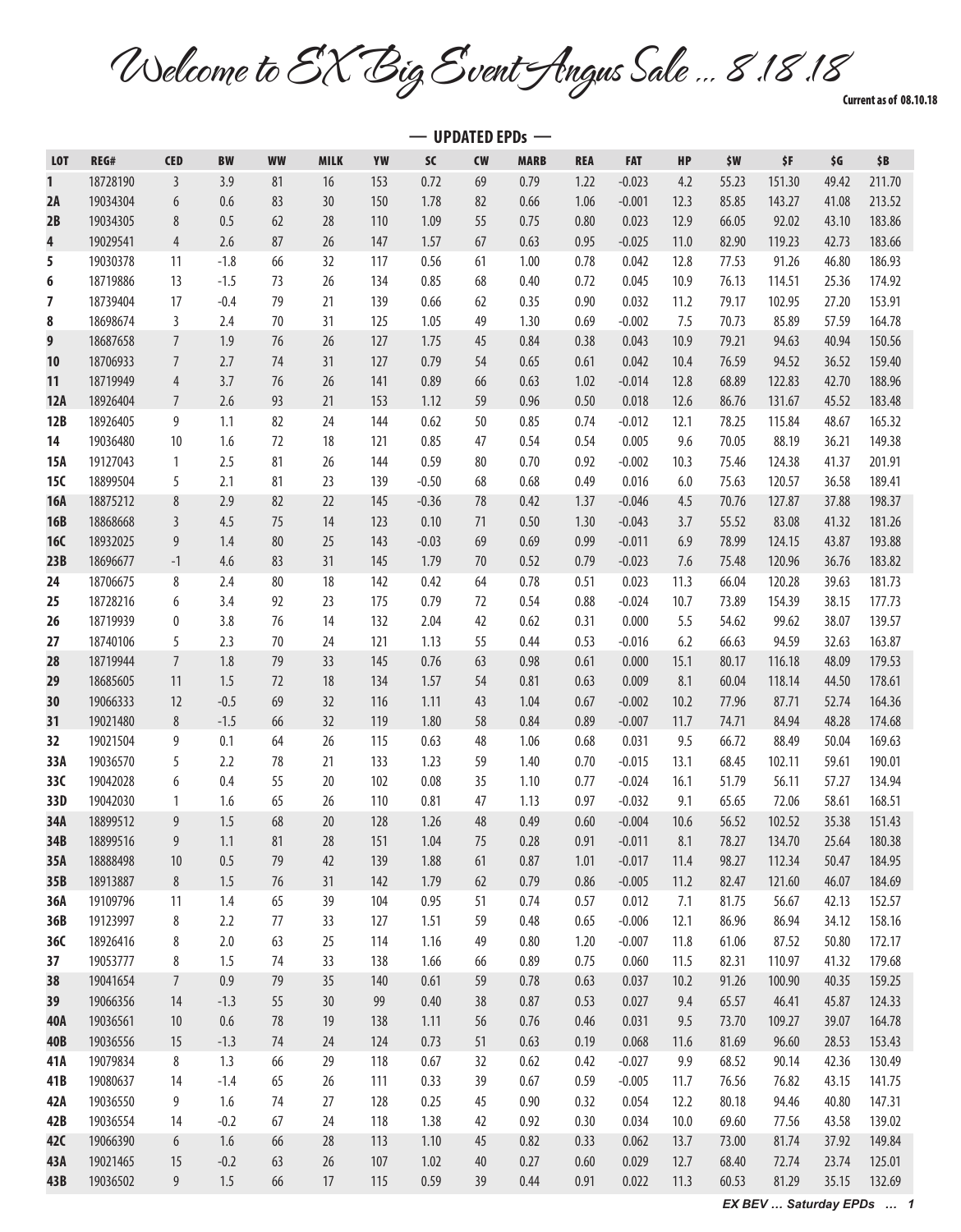Welcome to EX Big Event Angus Sale … 8.18.18

Current as of 08.10.18

|            | $-$ UPDATED EPDs $-$ |                |            |           |             |            |              |           |              |              |                      |              |                |                  |                |                  |
|------------|----------------------|----------------|------------|-----------|-------------|------------|--------------|-----------|--------------|--------------|----------------------|--------------|----------------|------------------|----------------|------------------|
| <b>LOT</b> | REG#                 | <b>CED</b>     | <b>BW</b>  | <b>WW</b> | <b>MILK</b> | YW         | SC           | <b>CW</b> | <b>MARB</b>  | <b>REA</b>   | <b>FAT</b>           | HP           | \$W            | \$F              | \$G            | \$B              |
| 1          | 18728190             | $\mathfrak{Z}$ | 3.9        | 81        | 16          | 153        | 0.72         | 69        | 0.79         | 1.22         | $-0.023$             | 4.2          | 55.23          | 151.30           | 49.42          | 211.70           |
| 2A         | 19034304             | $6\,$          | 0.6        | 83        | 30          | 150        | 1.78         | 82        | 0.66         | 1.06         | $-0.001$             | 12.3         | 85.85          | 143.27           | 41.08          | 213.52           |
| 2B         | 19034305             | 8              | 0.5        | 62        | 28          | 110        | 1.09         | 55        | 0.75         | 0.80         | 0.023                | 12.9         | 66.05          | 92.02            | 43.10          | 183.86           |
| 4          | 19029541             | 4              | 2.6        | 87        | 26          | 147        | 1.57         | 67        | 0.63         | 0.95         | $-0.025$             | 11.0         | 82.90          | 119.23           | 42.73          | 183.66           |
| 5          | 19030378             | 11             | $-1.8$     | 66        | 32          | 117        | 0.56         | 61        | 1.00         | 0.78         | 0.042                | 12.8         | 77.53          | 91.26            | 46.80          | 186.93           |
| 6          | 18719886             | 13             | $-1.5$     | 73        | 26          | 134        | 0.85         | 68        | 0.40         | 0.72         | 0.045                | 10.9         | 76.13          | 114.51           | 25.36          | 174.92           |
| 7          | 18739404             | 17             | $-0.4$     | 79        | 21          | 139        | 0.66         | 62        | 0.35         | 0.90         | 0.032                | 11.2         | 79.17          | 102.95           | 27.20          | 153.91           |
| 8          | 18698674             | 3              | 2.4        | 70        | 31          | 125        | 1.05         | 49        | 1.30         | 0.69         | $-0.002$             | 7.5          | 70.73          | 85.89            | 57.59          | 164.78           |
| 9          | 18687658             | $\overline{7}$ | 1.9        | 76        | $26$        | 127        | 1.75         | 45        | 0.84         | 0.38         | 0.043                | 10.9         | 79.21          | 94.63            | 40.94          | 150.56           |
| 10         | 18706933             | $\overline{7}$ | 2.7        | 74        | 31          | 127        | 0.79         | 54        | 0.65         | 0.61         | 0.042                | 10.4         | 76.59          | 94.52            | 36.52          | 159.40           |
| 11         | 18719949             | 4              | 3.7        | 76        | 26          | 141        | 0.89         | 66        | 0.63         | 1.02         | $-0.014$             | 12.8         | 68.89          | 122.83           | 42.70          | 188.96           |
| 12A        | 18926404             | $\overline{7}$ | 2.6        | 93        | 21          | 153        | 1.12         | 59        | 0.96         | 0.50         | 0.018                | 12.6         | 86.76          | 131.67           | 45.52          | 183.48           |
| 12B        | 18926405             | 9              | 1.1        | 82        | 24          | 144        | 0.62         | 50        | 0.85         | 0.74         | $-0.012$             | 12.1         | 78.25          | 115.84           | 48.67          | 165.32           |
| 14         | 19036480             | 10             | 1.6        | 72        | 18          | 121        | 0.85         | 47        | 0.54         | 0.54         | 0.005                | 9.6          | 70.05          | 88.19            | 36.21          | 149.38           |
| 15A        | 19127043             | 1              | 2.5        | 81        | 26          | 144        | 0.59         | 80        | 0.70         | 0.92         | $-0.002$             | 10.3         | 75.46          | 124.38           | 41.37          | 201.91           |
| 15C        | 18899504             | 5              | 2.1        | 81        | 23          | 139        | $-0.50$      | 68        | 0.68         | 0.49         | 0.016                | 6.0          | 75.63          | 120.57           | 36.58          | 189.41           |
| <b>16A</b> | 18875212             | 8              | 2.9        | 82        | 22          | 145        | $-0.36$      | 78        | 0.42         | 1.37         | $-0.046$             | 4.5          | 70.76          | 127.87           | 37.88          | 198.37           |
| <b>16B</b> | 18868668             | 3              | 4.5        | 75        | 14          | 123        | 0.10         | 71        | 0.50         | 1.30         | $-0.043$             | 3.7          | 55.52          | 83.08            | 41.32          | 181.26           |
| <b>16C</b> | 18932025             | 9              | 1.4        | 80        | 25          | 143        | $-0.03$      | 69        | 0.69         | 0.99         | $-0.011$             | 6.9          | 78.99          | 124.15           | 43.87          | 193.88           |
| 23B        | 18696677             | $-1$           | 4.6        | 83        | 31          | 145        | 1.79         | 70        | 0.52         | 0.79         | $-0.023$             | 7.6          | 75.48          | 120.96           | 36.76          | 183.82           |
| 24         | 18706675             | 8              | 2.4        | 80        | 18          | 142        | 0.42         | 64        | 0.78         | 0.51         | 0.023                | 11.3         | 66.04          | 120.28           | 39.63          | 181.73           |
| 25         | 18728216             | 6              | 3.4        | 92        | 23          | 175        | 0.79         | 72        | 0.54         | 0.88         | $-0.024$             | 10.7         | 73.89          | 154.39           | 38.15          | 177.73           |
| 26         | 18719939             | 0              | 3.8        | 76        | 14          | 132        | 2.04         | 42        | 0.62         | 0.31         | 0.000                | 5.5          | 54.62          | 99.62            | 38.07          | 139.57           |
| 27         | 18740106             | 5              | 2.3        | 70        | 24          | 121        | 1.13         | 55        | 0.44         | 0.53         | $-0.016$             | 6.2          | 66.63          | 94.59            | 32.63          | 163.87           |
| 28         | 18719944             | $\overline{7}$ | 1.8        | 79        | 33          | 145        | 0.76         | 63        | 0.98         | 0.61         | 0.000                | 15.1         | 80.17          | 116.18           | 48.09          | 179.53           |
| 29         | 18685605             | 11             | 1.5        | 72        | 18          | 134        | 1.57         | 54        | 0.81         | 0.63         | 0.009                | 8.1          | 60.04          | 118.14           | 44.50          | 178.61           |
| 30         | 19066333             | 12             | $-0.5$     | 69        | 32          | 116        | 1.11         | 43        | 1.04         | 0.67         | $-0.002$             | 10.2         | 77.96          | 87.71            | 52.74          | 164.36           |
| 31         | 19021480             | 8              | $-1.5$     | 66        | 32          | 119        | 1.80         | 58        | 0.84         | 0.89         | $-0.007$             | 11.7         | 74.71          | 84.94            | 48.28          | 174.68           |
| 32         | 19021504             | 9              | 0.1        | 64        | 26          | 115        | 0.63         | 48        | 1.06         | 0.68         | 0.031                | 9.5          | 66.72          | 88.49            | 50.04          | 169.63           |
| 33A        | 19036570             | 5              | 2.2        | 78        | 21          | 133        | 1.23         | 59        | 1.40         | 0.70         | $-0.015$             | 13.1         | 68.45          | 102.11           | 59.61          | 190.01           |
| 33C        | 19042028             | 6              | 0.4        | 55        | 20          | 102        | 0.08         | 35        | 1.10         | 0.77         | $-0.024$             | 16.1         | 51.79          | 56.11            | 57.27          | 134.94           |
| 33D        | 19042030             | 1              | 1.6        | 65        | 26          | 110        | 0.81         | 47        | 1.13         | 0.97         | $-0.032$             | 9.1          | 65.65          | 72.06            | 58.61          | 168.51           |
| 34A        | 18899512             | $\overline{9}$ | 1.5        | 68        | $20\,$      | 128        | 1.26         | 48        | 0.49         | 0.60         | $-0.004$             | 10.6         | 56.52          | 102.52           | 35.38          | 151.43           |
| 34B        | 18899516             | 9              | 1.1        | 81        | 28          | 151        | 1.04         | 75        | 0.28         | 0.91         | $-0.011$             | 8.1          | 78.27          | 134.70           | 25.64          | 180.38           |
| 35A<br>35B | 18888498<br>18913887 | 10<br>$\,8\,$  | 0.5<br>1.5 | 79<br>76  | 42<br>31    | 139<br>142 | 1.88<br>1.79 | 61<br>62  | 0.87<br>0.79 | 1.01<br>0.86 | $-0.017$<br>$-0.005$ | 11.4<br>11.2 | 98.27<br>82.47 | 112.34<br>121.60 | 50.47<br>46.07 | 184.95<br>184.69 |
| 36A        | 19109796             | 11             | 1.4        | 65        | 39          | 104        | 0.95         | 51        | 0.74         | 0.57         | 0.012                | 7.1          | 81.75          | 56.67            | 42.13          | 152.57           |
| 36B        | 19123997             | 8              | 2.2        | 77        | 33          | 127        | 1.51         | 59        | 0.48         | 0.65         | $-0.006$             | 12.1         | 86.96          | 86.94            | 34.12          | 158.16           |
| 36C        | 18926416             | 8              | $2.0$      | 63        | 25          | 114        | 1.16         | 49        | 0.80         | 1.20         | $-0.007$             | 11.8         | 61.06          | 87.52            | 50.80          | 172.17           |
| 37         | 19053777             | 8              | 1.5        | 74        | 33          | 138        | 1.66         | 66        | 0.89         | 0.75         | 0.060                | 11.5         | 82.31          | 110.97           | 41.32          | 179.68           |
| 38         | 19041654             | $\overline{7}$ | $0.9\,$    | 79        | 35          | 140        | 0.61         | 59        | 0.78         | 0.63         | 0.037                | 10.2         | 91.26          | 100.90           | 40.35          | 159.25           |
| 39         | 19066356             | 14             | $-1.3$     | 55        | 30          | 99         | 0.40         | 38        | 0.87         | 0.53         | 0.027                | 9.4          | 65.57          | 46.41            | 45.87          | 124.33           |
| 40A        | 19036561             | 10             | $0.6\,$    | 78        | 19          | 138        | 1.11         | 56        | 0.76         | 0.46         | 0.031                | 9.5          | 73.70          | 109.27           | 39.07          | 164.78           |
| 40B        | 19036556             | 15             | $-1.3$     | 74        | 24          | 124        | 0.73         | 51        | 0.63         | 0.19         | 0.068                | 11.6         | 81.69          | 96.60            | 28.53          | 153.43           |
| 41A        | 19079834             | 8              | 1.3        | 66        | 29          | 118        | 0.67         | 32        | 0.62         | 0.42         | $-0.027$             | 9.9          | 68.52          | 90.14            | 42.36          | 130.49           |
| 41B        | 19080637             | 14             | $-1.4$     | 65        | 26          | 111        | 0.33         | 39        | 0.67         | 0.59         | $-0.005$             | 11.7         | 76.56          | 76.82            | 43.15          | 141.75           |
| 42A        | 19036550             | 9              | 1.6        | 74        | 27          | 128        | 0.25         | 45        | 0.90         | 0.32         | 0.054                | 12.2         | 80.18          | 94.46            | 40.80          | 147.31           |
| 42B        | 19036554             | 14             | $-0.2$     | 67        | 24          | 118        | 1.38         | 42        | 0.92         | 0.30         | 0.034                | 10.0         | 69.60          | 77.56            | 43.58          | 139.02           |
| 42C        | 19066390             | $6\,$          | 1.6        | 66        | 28          | 113        | 1.10         | 45        | 0.82         | 0.33         | 0.062                | 13.7         | 73.00          | 81.74            | 37.92          | 149.84           |
| 43 A       | 19021465             | 15             | $-0.2$     | 63        | $26$        | 107        | 1.02         | 40        | 0.27         | 0.60         | 0.029                | 12.7         | 68.40          | 72.74            | 23.74          | 125.01           |
| 43B        | 19036502             | $9\,$          | 1.5        | 66        | 17          | 115        | 0.59         | 39        | 0.44         | 0.91         | 0.022                | 11.3         | 60.53          | 81.29            | 35.15          | 132.69           |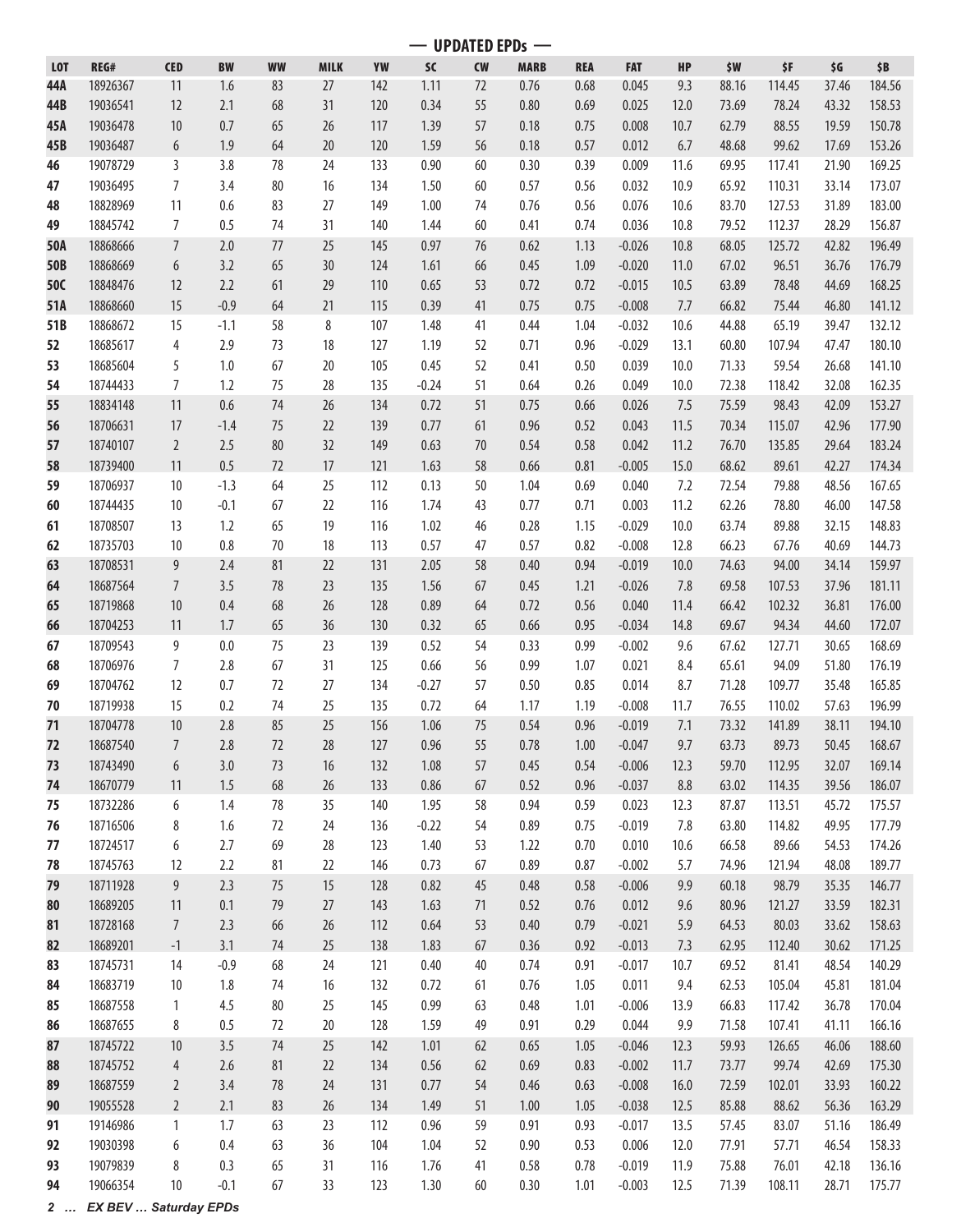**— UPDATED EPDs —**

| <b>LOT</b> | REG#     | <b>CED</b>      | <b>BW</b> | <b>WW</b> | <b>MILK</b> | YW  | <b>SC</b> | <b>CW</b> | <b>MARB</b> | <b>REA</b> | <b>FAT</b> | <b>HP</b> | \$W   | \$F    | \$G   | \$B    |
|------------|----------|-----------------|-----------|-----------|-------------|-----|-----------|-----------|-------------|------------|------------|-----------|-------|--------|-------|--------|
| 44A        | 18926367 | 11              | 1.6       | 83        | 27          | 142 | 1.11      | 72        | 0.76        | 0.68       | 0.045      | 9.3       | 88.16 | 114.45 | 37.46 | 184.56 |
| 44B        | 19036541 | 12              | 2.1       | 68        | 31          | 120 | 0.34      | 55        | 0.80        | 0.69       | 0.025      | 12.0      | 73.69 | 78.24  | 43.32 | 158.53 |
| 45A        | 19036478 | 10              | 0.7       | 65        | 26          | 117 | 1.39      | 57        | 0.18        | 0.75       | 0.008      | 10.7      | 62.79 | 88.55  | 19.59 | 150.78 |
| 45B        | 19036487 | $6\phantom{.}6$ | 1.9       | 64        | 20          | 120 | 1.59      | 56        | 0.18        | 0.57       | 0.012      | 6.7       | 48.68 | 99.62  | 17.69 | 153.26 |
|            |          |                 |           |           |             |     |           |           |             |            |            |           |       |        |       |        |
| 46         | 19078729 | 3               | 3.8       | 78        | 24          | 133 | 0.90      | 60        | 0.30        | 0.39       | 0.009      | 11.6      | 69.95 | 117.41 | 21.90 | 169.25 |
| 47         | 19036495 | $\overline{7}$  | 3.4       | 80        | 16          | 134 | 1.50      | 60        | 0.57        | 0.56       | 0.032      | 10.9      | 65.92 | 110.31 | 33.14 | 173.07 |
| 48         | 18828969 | 11              | 0.6       | 83        | 27          | 149 | 1.00      | 74        | 0.76        | 0.56       | 0.076      | 10.6      | 83.70 | 127.53 | 31.89 | 183.00 |
| 49         | 18845742 | $\overline{7}$  | 0.5       | 74        | 31          | 140 | 1.44      | 60        | 0.41        | 0.74       | 0.036      | 10.8      | 79.52 | 112.37 | 28.29 | 156.87 |
| 50A        | 18868666 | $\overline{7}$  | 2.0       | 77        | 25          | 145 | 0.97      | 76        | 0.62        | 1.13       | $-0.026$   | 10.8      | 68.05 | 125.72 | 42.82 | 196.49 |
| 50B        | 18868669 | 6               | 3.2       | 65        | 30          | 124 | 1.61      | 66        | 0.45        | 1.09       | $-0.020$   | 11.0      | 67.02 | 96.51  | 36.76 | 176.79 |
| 50C        | 18848476 | 12              | 2.2       | 61        | 29          | 110 | 0.65      | 53        | 0.72        | 0.72       | $-0.015$   | 10.5      | 63.89 | 78.48  | 44.69 | 168.25 |
| 51A        | 18868660 | 15              | $-0.9$    | 64        | 21          | 115 | 0.39      | 41        | 0.75        | 0.75       | $-0.008$   | 7.7       | 66.82 | 75.44  | 46.80 | 141.12 |
| 51B        | 18868672 | 15              | $-1.1$    | 58        | 8           | 107 | 1.48      | 41        | 0.44        | 1.04       | $-0.032$   | 10.6      | 44.88 | 65.19  | 39.47 | 132.12 |
| 52         | 18685617 | 4               | 2.9       | 73        | 18          | 127 | 1.19      | 52        | 0.71        | 0.96       | $-0.029$   | 13.1      | 60.80 | 107.94 | 47.47 | 180.10 |
| 53         | 18685604 | 5               | 1.0       | 67        | 20          | 105 | 0.45      | 52        | 0.41        | 0.50       | 0.039      | 10.0      | 71.33 | 59.54  | 26.68 | 141.10 |
| 54         | 18744433 | $\overline{7}$  | 1.2       | 75        | 28          | 135 | $-0.24$   | 51        | 0.64        | 0.26       | 0.049      | 10.0      | 72.38 | 118.42 | 32.08 | 162.35 |
| 55         | 18834148 | 11              | 0.6       | 74        | 26          | 134 | 0.72      | 51        | 0.75        | 0.66       | 0.026      | 7.5       | 75.59 | 98.43  | 42.09 | 153.27 |
| 56         | 18706631 | 17              | $-1.4$    | 75        | 22          | 139 | 0.77      | 61        | 0.96        | 0.52       | 0.043      | 11.5      | 70.34 | 115.07 | 42.96 | 177.90 |
| 57         | 18740107 | $\overline{2}$  | 2.5       | 80        | 32          | 149 | 0.63      | 70        | 0.54        | 0.58       | 0.042      | 11.2      | 76.70 | 135.85 | 29.64 | 183.24 |
| 58         | 18739400 | 11              | 0.5       | 72        | 17          | 121 | 1.63      | 58        | 0.66        | 0.81       | $-0.005$   | 15.0      | 68.62 | 89.61  | 42.27 | 174.34 |
| 59         | 18706937 | 10              | $-1.3$    | 64        | 25          | 112 | 0.13      | 50        | 1.04        | 0.69       | 0.040      | 7.2       | 72.54 | 79.88  | 48.56 | 167.65 |
|            | 18744435 |                 | $-0.1$    |           | 22          | 116 |           |           |             |            | 0.003      | 11.2      | 62.26 |        |       | 147.58 |
| 60         |          | 10              |           | 67        |             |     | 1.74      | 43        | 0.77        | 0.71       |            |           |       | 78.80  | 46.00 |        |
| 61         | 18708507 | 13              | 1.2       | 65        | 19          | 116 | 1.02      | 46        | 0.28        | 1.15       | $-0.029$   | 10.0      | 63.74 | 89.88  | 32.15 | 148.83 |
| 62         | 18735703 | 10              | 0.8       | 70        | 18          | 113 | 0.57      | 47        | 0.57        | 0.82       | $-0.008$   | 12.8      | 66.23 | 67.76  | 40.69 | 144.73 |
| 63         | 18708531 | 9               | 2.4       | 81        | 22          | 131 | 2.05      | 58        | 0.40        | 0.94       | $-0.019$   | 10.0      | 74.63 | 94.00  | 34.14 | 159.97 |
| 64         | 18687564 | $\overline{7}$  | 3.5       | 78        | 23          | 135 | 1.56      | 67        | 0.45        | 1.21       | $-0.026$   | 7.8       | 69.58 | 107.53 | 37.96 | 181.11 |
| 65         | 18719868 | $10$            | 0.4       | 68        | 26          | 128 | 0.89      | 64        | 0.72        | 0.56       | 0.040      | 11.4      | 66.42 | 102.32 | 36.81 | 176.00 |
| 66         | 18704253 | 11              | 1.7       | 65        | 36          | 130 | 0.32      | 65        | 0.66        | 0.95       | $-0.034$   | 14.8      | 69.67 | 94.34  | 44.60 | 172.07 |
| 67         | 18709543 | 9               | 0.0       | 75        | 23          | 139 | 0.52      | 54        | 0.33        | 0.99       | $-0.002$   | 9.6       | 67.62 | 127.71 | 30.65 | 168.69 |
| 68         | 18706976 | $\overline{7}$  | 2.8       | 67        | 31          | 125 | 0.66      | 56        | 0.99        | 1.07       | 0.021      | 8.4       | 65.61 | 94.09  | 51.80 | 176.19 |
| 69         | 18704762 | 12              | 0.7       | 72        | 27          | 134 | $-0.27$   | 57        | 0.50        | 0.85       | 0.014      | 8.7       | 71.28 | 109.77 | 35.48 | 165.85 |
| 70         | 18719938 | 15              | 0.2       | 74        | 25          | 135 | 0.72      | 64        | 1.17        | 1.19       | $-0.008$   | 11.7      | 76.55 | 110.02 | 57.63 | 196.99 |
| 71         | 18704778 | 10              | 2.8       | 85        | 25          | 156 | 1.06      | 75        | 0.54        | 0.96       | $-0.019$   | 7.1       | 73.32 | 141.89 | 38.11 | 194.10 |
| 72         | 18687540 | $7\overline{ }$ | 2.8       | $72\,$    | 28          | 127 | $0.96\,$  | 55        | 0.78        | $1.00\,$   | $-0.047$   | 9.7       | 63.73 | 89.73  | 50.45 | 168.67 |
| 73         | 18743490 | 6               | 3.0       | 73        | 16          | 132 | 1.08      | 57        | 0.45        | 0.54       | $-0.006$   | 12.3      | 59.70 | 112.95 | 32.07 | 169.14 |
| 74         | 18670779 | 11              | 1.5       | 68        | $26$        | 133 | 0.86      | 67        | 0.52        | 0.96       | $-0.037$   | 8.8       | 63.02 | 114.35 | 39.56 | 186.07 |
| 75         | 18732286 | 6               | 1.4       | 78        | 35          | 140 | 1.95      | 58        | 0.94        | 0.59       | 0.023      | 12.3      | 87.87 | 113.51 | 45.72 | 175.57 |
| 76         | 18716506 | 8               | 1.6       | 72        | 24          | 136 | $-0.22$   | 54        | 0.89        | 0.75       | $-0.019$   | 7.8       | 63.80 | 114.82 | 49.95 | 177.79 |
| 77         | 18724517 | 6               | 2.7       | 69        | 28          | 123 | 1.40      | 53        | 1.22        | 0.70       | 0.010      | 10.6      | 66.58 | 89.66  | 54.53 | 174.26 |
| 78         | 18745763 | 12              | 2.2       | 81        | 22          | 146 | 0.73      | 67        | 0.89        | 0.87       | $-0.002$   | 5.7       | 74.96 | 121.94 | 48.08 | 189.77 |
| 79         | 18711928 | 9               | 2.3       | 75        | 15          | 128 | 0.82      | 45        | 0.48        | 0.58       | $-0.006$   | 9.9       | 60.18 | 98.79  | 35.35 | 146.77 |
| 80         | 18689205 | 11              | 0.1       | 79        | 27          | 143 | 1.63      | 71        | 0.52        | 0.76       | 0.012      | 9.6       | 80.96 | 121.27 | 33.59 | 182.31 |
| 81         | 18728168 | $\overline{7}$  | 2.3       | 66        | $26\,$      | 112 | 0.64      | 53        | 0.40        | 0.79       | $-0.021$   | 5.9       | 64.53 | 80.03  | 33.62 | 158.63 |
| 82         | 18689201 | $-1$            | 3.1       | 74        | 25          | 138 | 1.83      | 67        | 0.36        | 0.92       | $-0.013$   | 7.3       | 62.95 | 112.40 | 30.62 | 171.25 |
| 83         | 18745731 | 14              | $-0.9$    | 68        | 24          | 121 | 0.40      | 40        | 0.74        | 0.91       | $-0.017$   | 10.7      | 69.52 | 81.41  | 48.54 | 140.29 |
| 84         | 18683719 | 10              | 1.8       | 74        | 16          | 132 | 0.72      | 61        | 0.76        | 1.05       | 0.011      | 9.4       | 62.53 | 105.04 | 45.81 | 181.04 |
| 85         | 18687558 | $\mathbf{1}$    | 4.5       | 80        | 25          | 145 | 0.99      | 63        | 0.48        | 1.01       | $-0.006$   | 13.9      | 66.83 | 117.42 | 36.78 | 170.04 |
| 86         | 18687655 | 8               | 0.5       | 72        | 20          | 128 | 1.59      | 49        | 0.91        | 0.29       | 0.044      | 9.9       | 71.58 | 107.41 | 41.11 | 166.16 |
| 87         | 18745722 | $10$            | 3.5       | 74        | 25          | 142 | 1.01      | 62        | 0.65        | 1.05       | $-0.046$   | 12.3      | 59.93 | 126.65 | 46.06 | 188.60 |
| 88         | 18745752 | $\sqrt{4}$      | 2.6       | 81        | 22          | 134 | 0.56      | 62        | 0.69        | 0.83       | $-0.002$   | 11.7      | 73.77 | 99.74  | 42.69 | 175.30 |
|            | 18687559 | $\overline{2}$  | 3.4       | 78        | 24          | 131 | 0.77      | 54        | 0.46        | 0.63       | $-0.008$   | 16.0      | 72.59 | 102.01 | 33.93 | 160.22 |
| 89         | 19055528 |                 | 2.1       | 83        | $26\,$      | 134 | 1.49      |           |             |            |            |           |       | 88.62  | 56.36 | 163.29 |
| 90         |          | $\overline{2}$  |           |           |             |     |           | 51        | 1.00        | 1.05       | $-0.038$   | 12.5      | 85.88 |        |       |        |
| 91         | 19146986 | 1               | 1.7       | 63        | 23          | 112 | 0.96      | 59        | 0.91        | 0.93       | $-0.017$   | 13.5      | 57.45 | 83.07  | 51.16 | 186.49 |
| 92         | 19030398 | 6               | $0.4\,$   | 63        | 36          | 104 | 1.04      | 52        | 0.90        | 0.53       | 0.006      | 12.0      | 77.91 | 57.71  | 46.54 | 158.33 |
| 93         | 19079839 | 8               | 0.3       | 65        | 31          | 116 | 1.76      | 41        | 0.58        | 0.78       | $-0.019$   | 11.9      | 75.88 | 76.01  | 42.18 | 136.16 |
| 94         | 19066354 | 10              | $-0.1$    | 67        | 33          | 123 | 1.30      | 60        | 0.30        | 1.01       | $-0.003$   | 12.5      | 71.39 | 108.11 | 28.71 | 175.77 |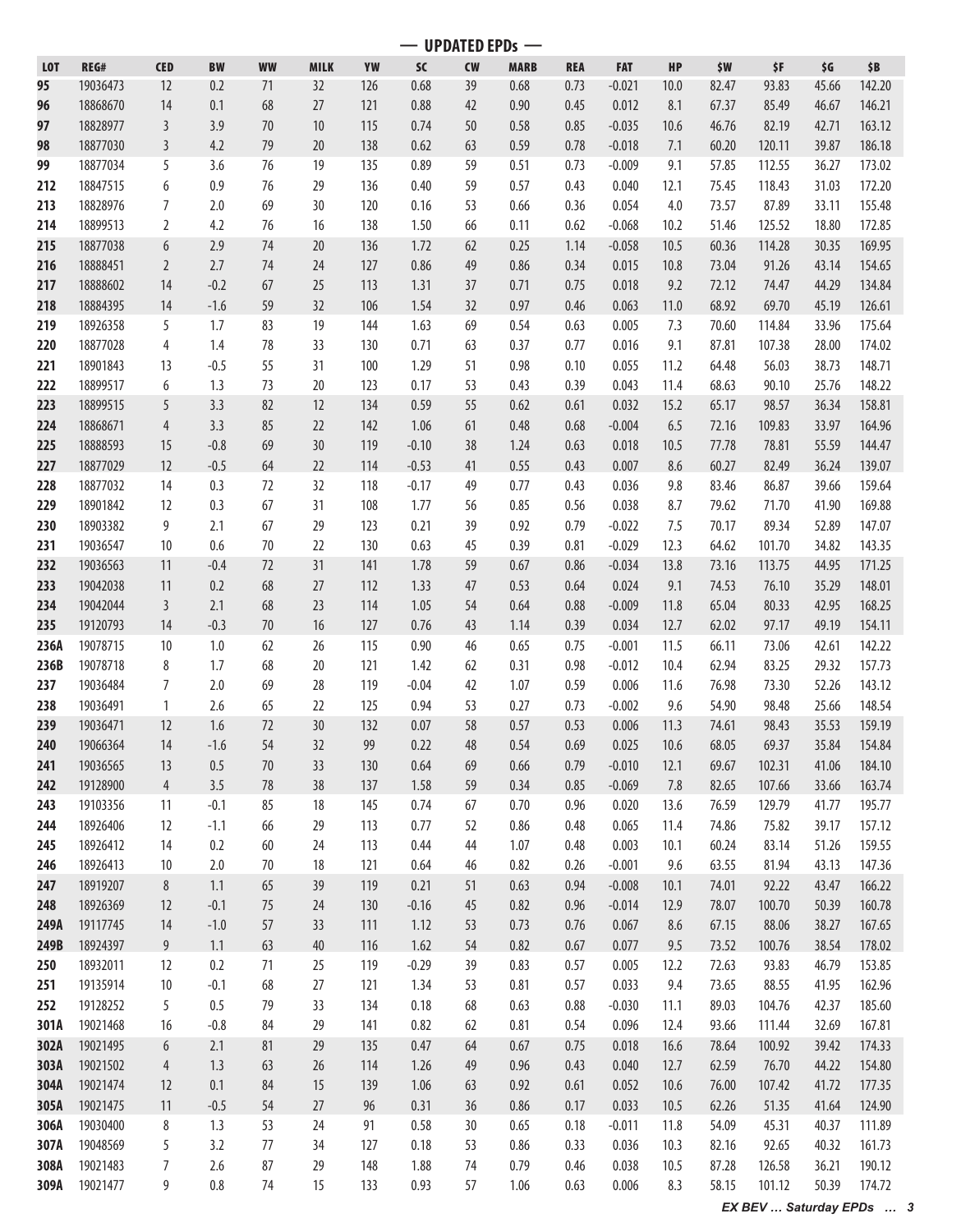**— UPDATED EPDs —**

| <b>LOT</b>   | REG#                 | <b>CED</b>     | <b>BW</b>  | <b>WW</b> | <b>MILK</b> | YW         | <b>SC</b>    | <b>CW</b> | <b>MARB</b>  | <b>REA</b>   | <b>FAT</b>     | HP           | \$W            | \$F             | \$G            | \$B              |
|--------------|----------------------|----------------|------------|-----------|-------------|------------|--------------|-----------|--------------|--------------|----------------|--------------|----------------|-----------------|----------------|------------------|
| 95           | 19036473             | 12             | 0.2        | 71        | 32          | 126        | 0.68         | 39        | 0.68         | 0.73         | $-0.021$       | 10.0         | 82.47          | 93.83           | 45.66          | 142.20           |
| 96           | 18868670             | 14             | 0.1        | 68        | 27          | 121        | 0.88         | 42        | 0.90         | 0.45         | 0.012          | 8.1          | 67.37          | 85.49           | 46.67          | 146.21           |
| 97           | 18828977             | $\mathbf{3}$   | 3.9        | 70        | 10          | 115        | 0.74         | 50        | 0.58         | 0.85         | $-0.035$       | 10.6         | 46.76          | 82.19           | 42.71          | 163.12           |
| 98           | 18877030             | $\mathbf{3}$   | 4.2        | 79        | 20          | 138        | 0.62         | 63        | 0.59         | 0.78         | $-0.018$       | 7.1          | 60.20          | 120.11          | 39.87          | 186.18           |
| 99           | 18877034             | 5              | 3.6        | 76        | 19          | 135        | 0.89         | 59        | 0.51         | 0.73         | $-0.009$       | 9.1          | 57.85          | 112.55          | 36.27          | 173.02           |
| 212          | 18847515             | 6              | 0.9        | 76        | 29          | 136        | 0.40         | 59        | 0.57         | 0.43         | 0.040          | 12.1         | 75.45          | 118.43          | 31.03          | 172.20           |
| 213          | 18828976             | 7              | 2.0        | 69        | 30          | 120        | 0.16         | 53        | 0.66         | 0.36         | 0.054          | 4.0          | 73.57          | 87.89           | 33.11          | 155.48           |
|              | 18899513             |                | 4.2        |           |             |            | 1.50         |           |              |              |                |              |                | 125.52          |                |                  |
| 214          |                      | $\overline{2}$ |            | 76        | 16          | 138        |              | 66        | 0.11         | 0.62         | $-0.068$       | 10.2         | 51.46          |                 | 18.80          | 172.85           |
| 215          | 18877038             | 6              | 2.9        | 74        | 20          | 136        | 1.72         | 62        | 0.25         | 1.14         | $-0.058$       | 10.5         | 60.36          | 114.28          | 30.35          | 169.95           |
| 216          | 18888451             | $\overline{2}$ | 2.7        | 74        | 24          | 127        | 0.86         | 49        | 0.86         | 0.34         | 0.015          | 10.8         | 73.04          | 91.26           | 43.14          | 154.65           |
| 217          | 18888602             | 14             | $-0.2$     | 67        | 25          | 113        | 1.31         | 37        | 0.71         | 0.75         | 0.018          | 9.2          | 72.12          | 74.47           | 44.29          | 134.84           |
| 218          | 18884395             | 14             | $-1.6$     | 59        | 32          | 106        | 1.54         | 32        | 0.97         | 0.46         | 0.063          | 11.0         | 68.92          | 69.70           | 45.19          | 126.61           |
| 219          | 18926358             | 5              | 1.7        | 83        | 19          | 144        | 1.63         | 69        | 0.54         | 0.63         | 0.005          | 7.3          | 70.60          | 114.84          | 33.96          | 175.64           |
| 220          | 18877028             | 4              | 1.4        | 78        | 33          | 130        | 0.71         | 63        | 0.37         | 0.77         | 0.016          | 9.1          | 87.81          | 107.38          | 28.00          | 174.02           |
| 221          | 18901843             | 13             | $-0.5$     | 55        | 31          | 100        | 1.29         | 51        | 0.98         | 0.10         | 0.055          | 11.2         | 64.48          | 56.03           | 38.73          | 148.71           |
| 222          | 18899517             | 6              | 1.3        | 73        | 20          | 123        | 0.17         | 53        | 0.43         | 0.39         | 0.043          | 11.4         | 68.63          | 90.10           | 25.76          | 148.22           |
| 223          | 18899515             | 5              | 3.3        | 82        | 12          | 134        | 0.59         | 55        | 0.62         | 0.61         | 0.032          | 15.2         | 65.17          | 98.57           | 36.34          | 158.81           |
| 224          | 18868671             | 4              | 3.3        | 85        | 22          | 142        | 1.06         | 61        | 0.48         | 0.68         | $-0.004$       | 6.5          | 72.16          | 109.83          | 33.97          | 164.96           |
| 225          | 18888593             | 15             | $-0.8$     | 69        | 30          | 119        | $-0.10$      | 38        | 1.24         | 0.63         | 0.018          | 10.5         | 77.78          | 78.81           | 55.59          | 144.47           |
| 227          | 18877029             | 12             | $-0.5$     | 64        | 22          | 114        | $-0.53$      | 41        | 0.55         | 0.43         | 0.007          | 8.6          | 60.27          | 82.49           | 36.24          | 139.07           |
| 228          | 18877032             | 14             | 0.3        | 72        | 32          | 118        | $-0.17$      | 49        | 0.77         | 0.43         | 0.036          | 9.8          | 83.46          | 86.87           | 39.66          | 159.64           |
| 229          | 18901842             | 12             | 0.3        | 67        | 31          | 108        | 1.77         | 56        | 0.85         | 0.56         | 0.038          | 8.7          | 79.62          | 71.70           | 41.90          | 169.88           |
| 230          | 18903382             | 9              | 2.1        | 67        | 29          | 123        | 0.21         | 39        | 0.92         | 0.79         | $-0.022$       | 7.5          | 70.17          | 89.34           | 52.89          | 147.07           |
| 231          | 19036547             | 10             | 0.6        | 70        | 22          | 130        | 0.63         | 45        | 0.39         | 0.81         | $-0.029$       | 12.3         | 64.62          | 101.70          | 34.82          | 143.35           |
| 232          | 19036563             | 11             | $-0.4$     | 72        | 31          | 141        | 1.78         | 59        | 0.67         | 0.86         | $-0.034$       | 13.8         | 73.16          | 113.75          | 44.95          | 171.25           |
| 233          | 19042038             | 11             | 0.2        | 68        | 27          | 112        | 1.33         | 47        | 0.53         | 0.64         | 0.024          | 9.1          | 74.53          | 76.10           | 35.29          | 148.01           |
| 234          | 19042044             | $\mathbf{3}$   | 2.1        | 68        | 23          | 114        | 1.05         | 54        | 0.64         | 0.88         | $-0.009$       | 11.8         | 65.04          | 80.33           | 42.95          | 168.25           |
| 235          | 19120793             | 14             | $-0.3$     | 70        | 16          | 127        | 0.76         | 43        | 1.14         | 0.39         | 0.034          | 12.7         | 62.02          | 97.17           | 49.19          | 154.11           |
| 236A         | 19078715             | 10             | 1.0        | 62        | 26          | 115        | 0.90         | 46        | 0.65         | 0.75         | $-0.001$       | 11.5         | 66.11          | 73.06           | 42.61          | 142.22           |
| 236B         | 19078718             | 8              | 1.7        | 68        | 20          | 121        | 1.42         | 62        | 0.31         | 0.98         | $-0.012$       | 10.4         | 62.94          | 83.25           | 29.32          | 157.73           |
| 237          | 19036484             | 7              | 2.0        | 69        | 28          | 119        | $-0.04$      | 42        | 1.07         | 0.59         | 0.006          | 11.6         | 76.98          | 73.30           | 52.26          | 143.12           |
| 238          | 19036491             | 1              | 2.6        | 65        | 22          | 125        | 0.94         | 53        | 0.27         | 0.73         | $-0.002$       | 9.6          | 54.90          | 98.48           | 25.66          | 148.54           |
| 239          | 19036471             | 12             | 1.6        | 72        | 30          | 132        | 0.07         | 58        | 0.57         | 0.53         | 0.006          | 11.3         | 74.61          | 98.43           | 35.53          | 159.19           |
| 240          | 19066364             | $14$           | $-1.6$     | 54        | 32          | 99         | 0.22         | 48        | 0.54         | 0.69         | 0.025          | $10.6$       | 68.05          | 69.37           | 35.84          | 154.84           |
|              |                      |                |            |           |             |            |              |           |              |              |                |              |                |                 |                |                  |
| 241          | 19036565             | 13             | 0.5        | 70        | 33          | 130        | 0.64         | 69        | 0.66         | 0.79         | $-0.010$       | 12.1         | 69.67          | 102.31          | 41.06          | 184.10           |
| 242          | 19128900             | $\overline{4}$ | 3.5        | 78        | 38          | 137        | 1.58         | 59        | 0.34         | 0.85         | $-0.069$       | 7.8          | 82.65          | 107.66          | 33.66          | 163.74           |
| 243          | 19103356             | 11             | $-0.1$     | 85        | 18          | 145        | 0.74         | 67        | 0.70         | 0.96         | 0.020          | 13.6         | 76.59          | 129.79          | 41.77          | 195.77           |
| 244          | 18926406             | 12             | $-1.1$     | 66        | 29          | 113        | 0.77         | 52        | 0.86         | 0.48         | 0.065          | 11.4         | 74.86          | 75.82           | 39.17          | 157.12           |
| 245          | 18926412             | 14             | 0.2        | 60        | 24          | 113        | 0.44         | 44        | 1.07         | 0.48         | 0.003          | 10.1         | 60.24          | 83.14           | 51.26          | 159.55           |
| 246          | 18926413             | 10             | 2.0        | 70        | 18          | 121        | 0.64         | 46        | 0.82         | 0.26         | $-0.001$       | 9.6          | 63.55          | 81.94           | 43.13          | 147.36           |
| 247          | 18919207             | 8              | 1.1        | 65        | 39          | 119        | 0.21         | 51        | 0.63         | 0.94         | $-0.008$       | 10.1         | 74.01          | 92.22           | 43.47          | 166.22           |
| 248          | 18926369             | 12             | $-0.1$     | 75        | 24          | 130        | $-0.16$      | 45        | 0.82         | 0.96         | $-0.014$       | 12.9         | 78.07          | 100.70          | 50.39          | 160.78           |
| 249A         | 19117745             |                | $-1.0$     | 57        | 33          | 111        | 1.12         | 53        | 0.73         | 0.76         | 0.067          | 8.6          | 67.15          | 88.06           | 38.27          | 167.65           |
| 249B         |                      | 14             |            |           |             |            |              |           |              |              |                |              |                |                 |                |                  |
| 250          | 18924397             | 9              | 1.1        | 63        | 40          | 116        | 1.62         | 54        | 0.82         | 0.67         | 0.077          | 9.5          | 73.52          | 100.76          | 38.54          | 178.02           |
| 251          | 18932011             | 12             | 0.2        | 71        | 25          | 119        | $-0.29$      | 39        | 0.83         | 0.57         | 0.005          | 12.2         | 72.63          | 93.83           | 46.79          | 153.85           |
|              | 19135914             | 10             | $-0.1$     | 68        | 27          | 121        | 1.34         | 53        | 0.81         | 0.57         | 0.033          | 9.4          | 73.65          | 88.55           | 41.95          | 162.96           |
| 252          | 19128252             | 5              | 0.5        | 79        | 33          | 134        | 0.18         | 68        | 0.63         | 0.88         | $-0.030$       | 11.1         | 89.03          | 104.76          | 42.37          | 185.60           |
| 301A         | 19021468             | 16             | $-0.8$     | 84        | 29          | 141        | 0.82         | 62        | 0.81         | 0.54         | 0.096          | 12.4         | 93.66          | 111.44          | 32.69          | 167.81           |
| 302A         | 19021495             | $6\,$          | 2.1        | 81        | 29          | 135        | 0.47         | 64        | 0.67         | 0.75         | 0.018          | 16.6         | 78.64          | 100.92          | 39.42          | 174.33           |
| 303A         | 19021502             | $\overline{4}$ | 1.3        | 63        | 26          | 114        | 1.26         | 49        | 0.96         | 0.43         | 0.040          | 12.7         | 62.59          | 76.70           | 44.22          | 154.80           |
| 304A         | 19021474             | 12             | 0.1        | 84        | 15          | 139        | 1.06         | 63        | 0.92         | 0.61         | 0.052          | 10.6         | 76.00          | 107.42          | 41.72          | 177.35           |
| 305A         | 19021475             | 11             | $-0.5$     | 54        | 27          | 96         | 0.31         | 36        | 0.86         | 0.17         | 0.033          | 10.5         | 62.26          | 51.35           | 41.64          | 124.90           |
| 306A         | 19030400             | 8              |            | 53        | 24          | 91         | 0.58         | 30        | 0.65         | 0.18         | $-0.011$       | 11.8         | 54.09          | 45.31           | 40.37          | 111.89           |
|              |                      | 5              | 1.3        |           |             |            |              |           |              |              |                |              |                |                 |                |                  |
| 307A<br>308A | 19048569<br>19021483 | 7              | 3.2<br>2.6 | 77<br>87  | 34<br>29    | 127<br>148 | 0.18<br>1.88 | 53<br>74  | 0.86<br>0.79 | 0.33<br>0.46 | 0.036<br>0.038 | 10.3<br>10.5 | 82.16<br>87.28 | 92.65<br>126.58 | 40.32<br>36.21 | 161.73<br>190.12 |